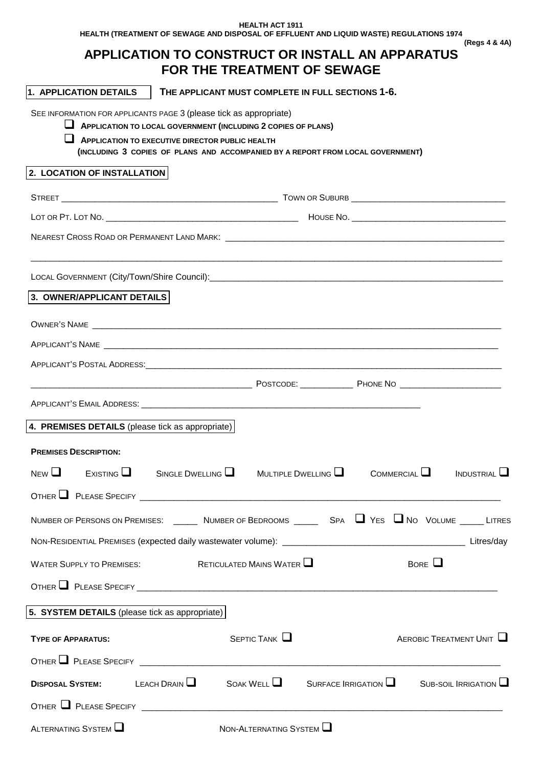**HEALTH ACT 1911 HEALTH (TREATMENT OF SEWAGE AND DISPOSAL OF EFFLUENT AND LIQUID WASTE) REGULATIONS 1974 (Regs 4 & 4A)** 

# **APPLICATION TO CONSTRUCT OR INSTALL AN APPARATUS FOR THE TREATMENT OF SEWAGE**

| 1. APPLICATION DETAILS                                                                                           | THE APPLICANT MUST COMPLETE IN FULL SECTIONS 1-6.                                                                                                                                                          |                          |              |             |                        |
|------------------------------------------------------------------------------------------------------------------|------------------------------------------------------------------------------------------------------------------------------------------------------------------------------------------------------------|--------------------------|--------------|-------------|------------------------|
| SEE INFORMATION FOR APPLICANTS PAGE 3 (please tick as appropriate)                                               | APPLICATION TO LOCAL GOVERNMENT (INCLUDING 2 COPIES OF PLANS)<br><b>APPLICATION TO EXECUTIVE DIRECTOR PUBLIC HEALTH</b><br>(INCLUDING 3 COPIES OF PLANS AND ACCOMPANIED BY A REPORT FROM LOCAL GOVERNMENT) |                          |              |             |                        |
| 2. LOCATION OF INSTALLATION                                                                                      |                                                                                                                                                                                                            |                          |              |             |                        |
|                                                                                                                  |                                                                                                                                                                                                            |                          |              |             |                        |
|                                                                                                                  |                                                                                                                                                                                                            |                          |              |             |                        |
|                                                                                                                  |                                                                                                                                                                                                            |                          |              |             |                        |
|                                                                                                                  |                                                                                                                                                                                                            |                          |              |             |                        |
| 3. OWNER/APPLICANT DETAILS                                                                                       |                                                                                                                                                                                                            |                          |              |             |                        |
| OWNER'S NAME <b>SECURE 2008</b>                                                                                  |                                                                                                                                                                                                            |                          |              |             |                        |
|                                                                                                                  |                                                                                                                                                                                                            |                          |              |             |                        |
|                                                                                                                  |                                                                                                                                                                                                            |                          |              |             |                        |
|                                                                                                                  |                                                                                                                                                                                                            |                          |              |             |                        |
|                                                                                                                  |                                                                                                                                                                                                            |                          |              |             |                        |
| 4. PREMISES DETAILS (please tick as appropriate)                                                                 |                                                                                                                                                                                                            |                          |              |             |                        |
| <b>PREMISES DESCRIPTION:</b>                                                                                     |                                                                                                                                                                                                            |                          |              |             |                        |
| NFW <sub>1</sub><br>ExistING                                                                                     | SINGLE DWELLING $\Box$                                                                                                                                                                                     | MULTIPLE DWELLING $\Box$ | COMMERCIAL U |             | INDUSTRIAL             |
|                                                                                                                  |                                                                                                                                                                                                            |                          |              |             |                        |
| NUMBER OF PERSONS ON PREMISES: ______ NUMBER OF BEDROOMS _____ SPA ■ YES ■ NO VOLUME _____ LITRES                |                                                                                                                                                                                                            |                          |              |             |                        |
|                                                                                                                  |                                                                                                                                                                                                            |                          |              |             |                        |
| <b>WATER SUPPLY TO PREMISES:</b>                                                                                 | RETICULATED MAINS WATER $\Box$                                                                                                                                                                             |                          |              | BORE $\Box$ |                        |
|                                                                                                                  |                                                                                                                                                                                                            |                          |              |             |                        |
| 5. SYSTEM DETAILS (please tick as appropriate)                                                                   |                                                                                                                                                                                                            |                          |              |             |                        |
|                                                                                                                  |                                                                                                                                                                                                            |                          |              |             |                        |
| <b>TYPE OF APPARATUS:</b>                                                                                        |                                                                                                                                                                                                            | SEPTIC TANK $\square$    |              |             | AEROBIC TREATMENT UNIT |
| OTHER $\Box$ PLEASE SPECIFY $\Box$ $\Box$ $\Box$ $\Box$                                                          |                                                                                                                                                                                                            |                          |              |             |                        |
| <b>DISPOSAL SYSTEM:</b> LEACH DRAIN $\Box$ SOAK WELL $\Box$ SURFACE IRRIGATION $\Box$ SUB-SOIL IRRIGATION $\Box$ |                                                                                                                                                                                                            |                          |              |             |                        |
|                                                                                                                  |                                                                                                                                                                                                            |                          |              |             |                        |
| ALTERNATING SYSTEM                                                                                               |                                                                                                                                                                                                            | NON-ALTERNATING SYSTEM   |              |             |                        |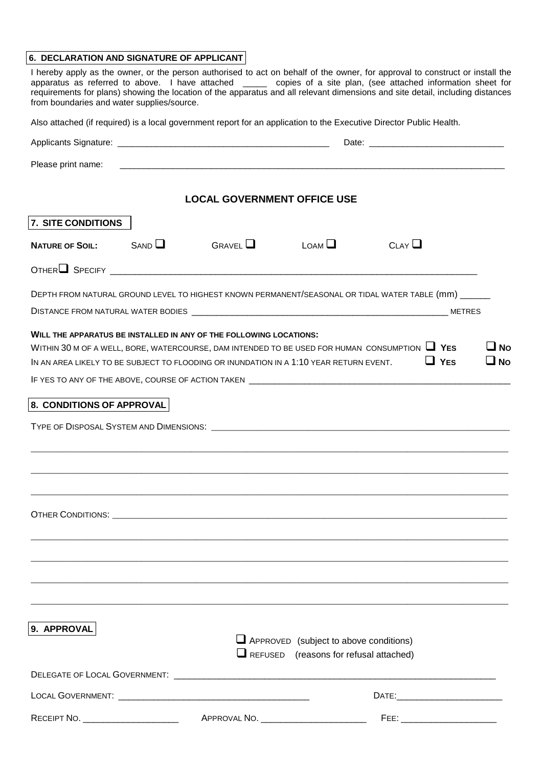#### **6. DECLARATION AND SIGNATURE OF APPLICANT**

| 6. DECLARATION AND SIGNATURE OF APPLICANT  |      |                                                                                                                                                              |                                               | I hereby apply as the owner, or the person authorised to act on behalf of the owner, for approval to construct or install the                                                                                                                      |                           |
|--------------------------------------------|------|--------------------------------------------------------------------------------------------------------------------------------------------------------------|-----------------------------------------------|----------------------------------------------------------------------------------------------------------------------------------------------------------------------------------------------------------------------------------------------------|---------------------------|
| from boundaries and water supplies/source. |      |                                                                                                                                                              |                                               | apparatus as referred to above. I have attached _____ copies of a site plan, (see attached information sheet for<br>requirements for plans) showing the location of the apparatus and all relevant dimensions and site detail, including distances |                           |
|                                            |      |                                                                                                                                                              |                                               | Also attached (if required) is a local government report for an application to the Executive Director Public Health.                                                                                                                               |                           |
|                                            |      |                                                                                                                                                              |                                               |                                                                                                                                                                                                                                                    |                           |
| Please print name:                         |      |                                                                                                                                                              |                                               |                                                                                                                                                                                                                                                    |                           |
|                                            |      | <b>LOCAL GOVERNMENT OFFICE USE</b>                                                                                                                           |                                               |                                                                                                                                                                                                                                                    |                           |
| <b>7. SITE CONDITIONS</b>                  |      |                                                                                                                                                              |                                               |                                                                                                                                                                                                                                                    |                           |
| <b>NATURE OF SOIL:</b>                     | SAND | $G$ RAVEL $\Box$                                                                                                                                             | $L$ OAM $\Box$                                | CLAY                                                                                                                                                                                                                                               |                           |
|                                            |      | OTHER SPECIFY <b>2008</b> SPECIFY <b>2008</b>                                                                                                                |                                               |                                                                                                                                                                                                                                                    |                           |
|                                            |      |                                                                                                                                                              |                                               | DEPTH FROM NATURAL GROUND LEVEL TO HIGHEST KNOWN PERMANENT/SEASONAL OR TIDAL WATER TABLE (mm) ______                                                                                                                                               |                           |
|                                            |      |                                                                                                                                                              |                                               |                                                                                                                                                                                                                                                    |                           |
|                                            |      | WILL THE APPARATUS BE INSTALLED IN ANY OF THE FOLLOWING LOCATIONS:<br>IN AN AREA LIKELY TO BE SUBJECT TO FLOODING OR INUNDATION IN A 1:10 YEAR RETURN EVENT. |                                               | WITHIN 30 M OF A WELL, BORE, WATERCOURSE, DAM INTENDED TO BE USED FOR HUMAN CONSUMPTION $\Box$ YES<br>$\Box$ YES                                                                                                                                   | $\square$ No<br>$\Box$ No |
| <b>8. CONDITIONS OF APPROVAL</b>           |      |                                                                                                                                                              |                                               |                                                                                                                                                                                                                                                    |                           |
|                                            |      |                                                                                                                                                              |                                               | TYPE OF DISPOSAL SYSTEM AND DIMENSIONS: WELL ASSESSED FOR A STATE OF DISPOSAL SYSTEM AND DIMENSIONS:                                                                                                                                               |                           |
|                                            |      |                                                                                                                                                              |                                               |                                                                                                                                                                                                                                                    |                           |
|                                            |      |                                                                                                                                                              |                                               |                                                                                                                                                                                                                                                    |                           |
|                                            |      |                                                                                                                                                              |                                               |                                                                                                                                                                                                                                                    |                           |
|                                            |      |                                                                                                                                                              |                                               |                                                                                                                                                                                                                                                    |                           |
|                                            |      |                                                                                                                                                              |                                               |                                                                                                                                                                                                                                                    |                           |
| 9. APPROVAL                                |      |                                                                                                                                                              | $\Box$ APPROVED (subject to above conditions) |                                                                                                                                                                                                                                                    |                           |

| DELEGATE OF LOCAL GOVERNMENT: |              |       |  |
|-------------------------------|--------------|-------|--|
| LOCAL GOVERNMENT:             |              | DATE: |  |
| RECEIPT NO.                   | APPROVAL NO. | FEE:  |  |

 $\Box$  REFUSED (reasons for refusal attached)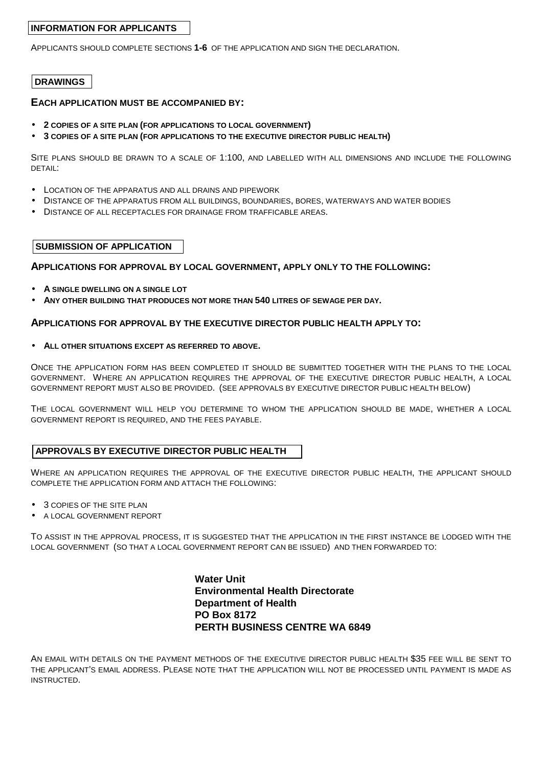# **INFORMATION FOR APPLICANTS**

APPLICANTS SHOULD COMPLETE SECTIONS **1-6** OF THE APPLICATION AND SIGN THE DECLARATION.

# **DRAWINGS**

## **EACH APPLICATION MUST BE ACCOMPANIED BY:**

- **2 COPIES OF A SITE PLAN (FOR APPLICATIONS TO LOCAL GOVERNMENT)**
- **3 COPIES OF A SITE PLAN (FOR APPLICATIONS TO THE EXECUTIVE DIRECTOR PUBLIC HEALTH)**

SITE PLANS SHOULD BE DRAWN TO A SCALE OF 1:100, AND LABELLED WITH ALL DIMENSIONS AND INCLUDE THE FOLLOWING DETAIL:

- LOCATION OF THE APPARATUS AND ALL DRAINS AND PIPEWORK
- DISTANCE OF THE APPARATUS FROM ALL BUILDINGS, BOUNDARIES, BORES, WATERWAYS AND WATER BODIES
- DISTANCE OF ALL RECEPTACLES FOR DRAINAGE FROM TRAFFICABLE AREAS.

## **SUBMISSION OF APPLICATION**

## **APPLICATIONS FOR APPROVAL BY LOCAL GOVERNMENT, APPLY ONLY TO THE FOLLOWING:**

- **A SINGLE DWELLING ON A SINGLE LOT**
- **ANY OTHER BUILDING THAT PRODUCES NOT MORE THAN 540 LITRES OF SEWAGE PER DAY.**

#### **APPLICATIONS FOR APPROVAL BY THE EXECUTIVE DIRECTOR PUBLIC HEALTH APPLY TO:**

#### • **ALL OTHER SITUATIONS EXCEPT AS REFERRED TO ABOVE.**

ONCE THE APPLICATION FORM HAS BEEN COMPLETED IT SHOULD BE SUBMITTED TOGETHER WITH THE PLANS TO THE LOCAL GOVERNMENT. WHERE AN APPLICATION REQUIRES THE APPROVAL OF THE EXECUTIVE DIRECTOR PUBLIC HEALTH, A LOCAL GOVERNMENT REPORT MUST ALSO BE PROVIDED. (SEE APPROVALS BY EXECUTIVE DIRECTOR PUBLIC HEALTH BELOW)

THE LOCAL GOVERNMENT WILL HELP YOU DETERMINE TO WHOM THE APPLICATION SHOULD BE MADE, WHETHER A LOCAL GOVERNMENT REPORT IS REQUIRED, AND THE FEES PAYABLE.

## **APPROVALS BY EXECUTIVE DIRECTOR PUBLIC HEALTH**

WHERE AN APPLICATION REQUIRES THE APPROVAL OF THE EXECUTIVE DIRECTOR PUBLIC HEALTH, THE APPLICANT SHOULD COMPLETE THE APPLICATION FORM AND ATTACH THE FOLLOWING:

- 3 COPIES OF THE SITE PLAN
- A LOCAL GOVERNMENT REPORT

TO ASSIST IN THE APPROVAL PROCESS, IT IS SUGGESTED THAT THE APPLICATION IN THE FIRST INSTANCE BE LODGED WITH THE LOCAL GOVERNMENT (SO THAT A LOCAL GOVERNMENT REPORT CAN BE ISSUED) AND THEN FORWARDED TO:

> **Water Unit Environmental Health Directorate Department of Health PO Box 8172 PERTH BUSINESS CENTRE WA 6849**

AN EMAIL WITH DETAILS ON THE PAYMENT METHODS OF THE EXECUTIVE DIRECTOR PUBLIC HEALTH \$35 FEE WILL BE SENT TO THE APPLICANT'S EMAIL ADDRESS. PLEASE NOTE THAT THE APPLICATION WILL NOT BE PROCESSED UNTIL PAYMENT IS MADE AS INSTRUCTED.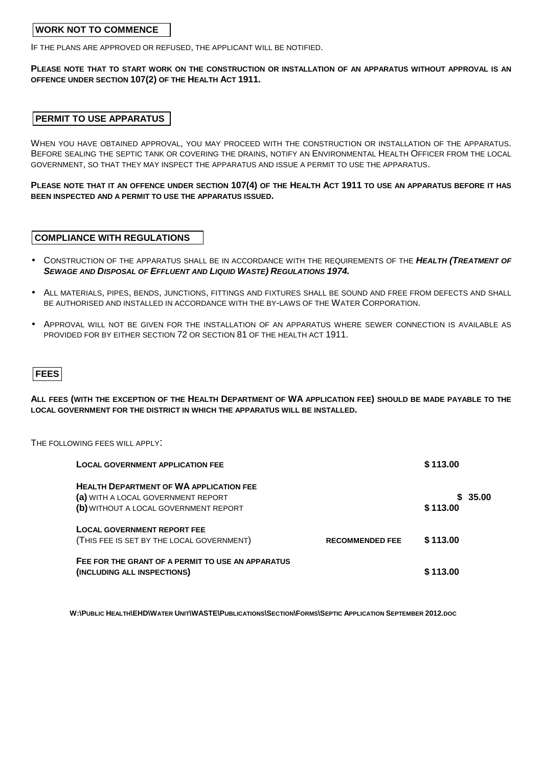# **WORK NOT TO COMMENCE**

IF THE PLANS ARE APPROVED OR REFUSED, THE APPLICANT WILL BE NOTIFIED.

## **PLEASE NOTE THAT TO START WORK ON THE CONSTRUCTION OR INSTALLATION OF AN APPARATUS WITHOUT APPROVAL IS AN OFFENCE UNDER SECTION 107(2) OF THE HEALTH ACT 1911.**

# **PERMIT TO USE APPARATUS**

WHEN YOU HAVE OBTAINED APPROVAL, YOU MAY PROCEED WITH THE CONSTRUCTION OR INSTALLATION OF THE APPARATUS. BEFORE SEALING THE SEPTIC TANK OR COVERING THE DRAINS, NOTIFY AN ENVIRONMENTAL HEALTH OFFICER FROM THE LOCAL GOVERNMENT, SO THAT THEY MAY INSPECT THE APPARATUS AND ISSUE A PERMIT TO USE THE APPARATUS.

**PLEASE NOTE THAT IT AN OFFENCE UNDER SECTION 107(4) OF THE HEALTH ACT 1911 TO USE AN APPARATUS BEFORE IT HAS BEEN INSPECTED AND A PERMIT TO USE THE APPARATUS ISSUED.** 

## **COMPLIANCE WITH REGULATIONS**

- CONSTRUCTION OF THE APPARATUS SHALL BE IN ACCORDANCE WITH THE REQUIREMENTS OF THE **HEALTH (TREATMENT OF SEWAGE AND DISPOSAL OF EFFLUENT AND LIQUID WASTE) REGULATIONS 1974.**
- ALL MATERIALS, PIPES, BENDS, JUNCTIONS, FITTINGS AND FIXTURES SHALL BE SOUND AND FREE FROM DEFECTS AND SHALL BE AUTHORISED AND INSTALLED IN ACCORDANCE WITH THE BY-LAWS OF THE WATER CORPORATION.
- APPROVAL WILL NOT BE GIVEN FOR THE INSTALLATION OF AN APPARATUS WHERE SEWER CONNECTION IS AVAILABLE AS PROVIDED FOR BY EITHER SECTION 72 OR SECTION 81 OF THE HEALTH ACT 1911.

# **FEES**

**ALL FEES (WITH THE EXCEPTION OF THE HEALTH DEPARTMENT OF WA APPLICATION FEE) SHOULD BE MADE PAYABLE TO THE LOCAL GOVERNMENT FOR THE DISTRICT IN WHICH THE APPARATUS WILL BE INSTALLED.** 

THE FOLLOWING FEES WILL APPLY:

| <b>LOCAL GOVERNMENT APPLICATION FEE</b>                                                                                       |                        | \$113.00            |
|-------------------------------------------------------------------------------------------------------------------------------|------------------------|---------------------|
| <b>HEALTH DEPARTMENT OF WA APPLICATION FEE</b><br>(a) WITH A LOCAL GOVERNMENT REPORT<br>(b) WITHOUT A LOCAL GOVERNMENT REPORT |                        | \$35.00<br>\$113.00 |
| <b>LOCAL GOVERNMENT REPORT FEE</b><br>(THIS FEE IS SET BY THE LOCAL GOVERNMENT)                                               | <b>RECOMMENDED FEE</b> | \$113.00            |
| FEE FOR THE GRANT OF A PERMIT TO USE AN APPARATUS<br>(INCLUDING ALL INSPECTIONS)                                              |                        | \$113.00            |

W:\PUBLIC HEALTH\EHD\WATER UNIT\WASTE\PUBLICATIONS\SECTION\FORMS\SEPTIC APPLICATION SEPTEMBER 2012.DOC